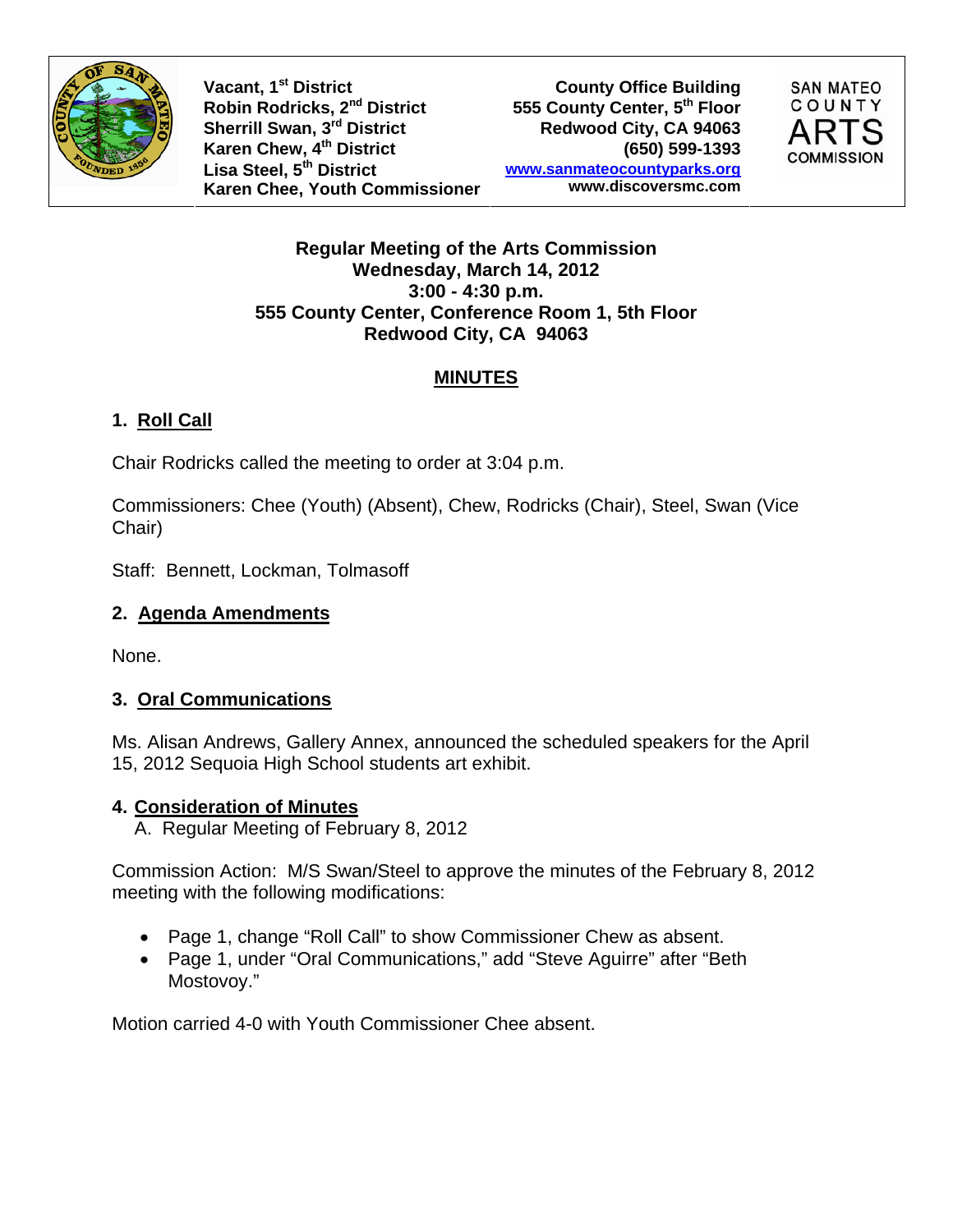

**Vacant, 1st District** Robin Rodricks, 2<sup>nd</sup> District 555 County Center, 5<sup>th</sup> Floor Sherrill Swan, 3<sup>rd</sup> District Redwood City, CA 94063 **Karen Chew, 4th District (650) 599-1393 Lisa Steel, 5th District Karen Chee, Youth Commissioner**

**County Office Building www.sanmateocountyparks.org www.discoversmc.com** 



#### **Regular Meeting of the Arts Commission Wednesday, March 14, 2012 3:00 - 4:30 p.m. 555 County Center, Conference Room 1, 5th Floor Redwood City, CA 94063**

## **MINUTES**

# **1. Roll Call**

Chair Rodricks called the meeting to order at 3:04 p.m.

Commissioners: Chee (Youth) (Absent), Chew, Rodricks (Chair), Steel, Swan (Vice Chair)

Staff: Bennett, Lockman, Tolmasoff

### **2. Agenda Amendments**

None.

## **3. Oral Communications**

Ms. Alisan Andrews, Gallery Annex, announced the scheduled speakers for the April 15, 2012 Sequoia High School students art exhibit.

## **4. Consideration of Minutes**

A. Regular Meeting of February 8, 2012

Commission Action: M/S Swan/Steel to approve the minutes of the February 8, 2012 meeting with the following modifications:

- Page 1, change "Roll Call" to show Commissioner Chew as absent.
- Page 1, under "Oral Communications," add "Steve Aguirre" after "Beth Mostovoy."

Motion carried 4-0 with Youth Commissioner Chee absent.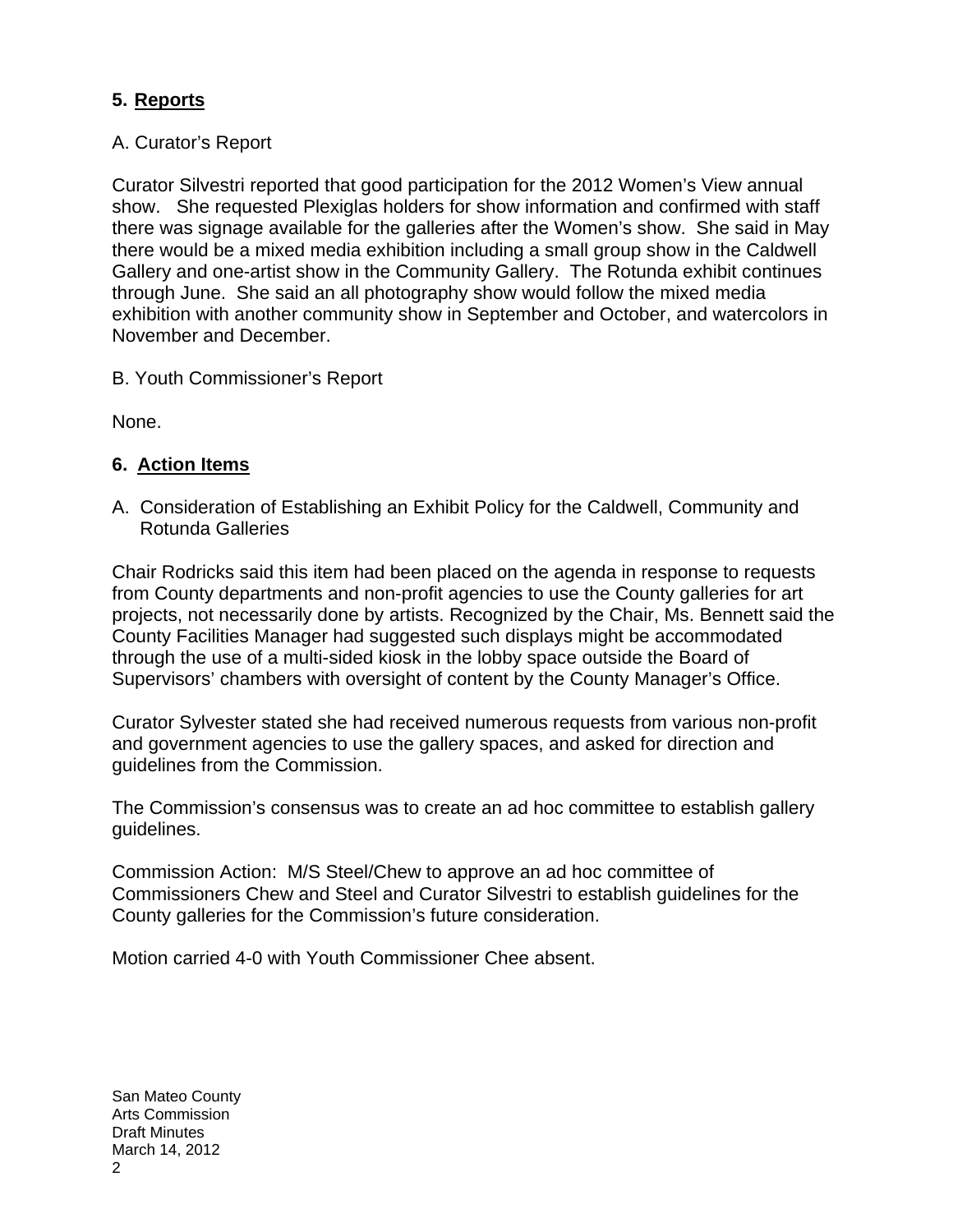### **5. Reports**

#### A. Curator's Report

Curator Silvestri reported that good participation for the 2012 Women's View annual show. She requested Plexiglas holders for show information and confirmed with staff there was signage available for the galleries after the Women's show. She said in May there would be a mixed media exhibition including a small group show in the Caldwell Gallery and one-artist show in the Community Gallery. The Rotunda exhibit continues through June. She said an all photography show would follow the mixed media exhibition with another community show in September and October, and watercolors in November and December.

B. Youth Commissioner's Report

None.

### **6. Action Items**

A. Consideration of Establishing an Exhibit Policy for the Caldwell, Community and Rotunda Galleries

Chair Rodricks said this item had been placed on the agenda in response to requests from County departments and non-profit agencies to use the County galleries for art projects, not necessarily done by artists. Recognized by the Chair, Ms. Bennett said the County Facilities Manager had suggested such displays might be accommodated through the use of a multi-sided kiosk in the lobby space outside the Board of Supervisors' chambers with oversight of content by the County Manager's Office.

Curator Sylvester stated she had received numerous requests from various non-profit and government agencies to use the gallery spaces, and asked for direction and guidelines from the Commission.

The Commission's consensus was to create an ad hoc committee to establish gallery guidelines.

Commission Action: M/S Steel/Chew to approve an ad hoc committee of Commissioners Chew and Steel and Curator Silvestri to establish guidelines for the County galleries for the Commission's future consideration.

Motion carried 4-0 with Youth Commissioner Chee absent.

San Mateo County Arts Commission Draft Minutes March 14, 2012 2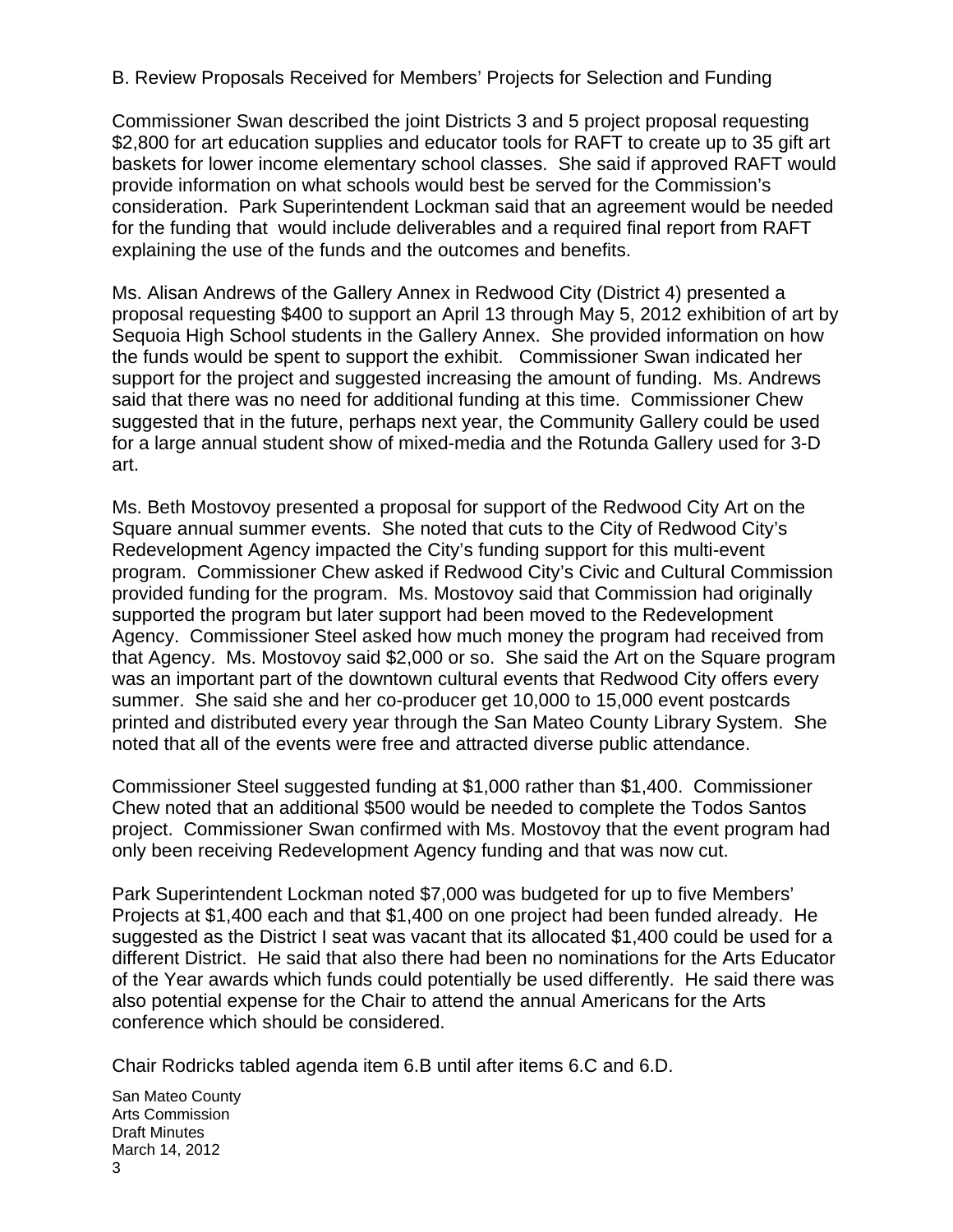B. Review Proposals Received for Members' Projects for Selection and Funding

Commissioner Swan described the joint Districts 3 and 5 project proposal requesting \$2,800 for art education supplies and educator tools for RAFT to create up to 35 gift art baskets for lower income elementary school classes. She said if approved RAFT would provide information on what schools would best be served for the Commission's consideration. Park Superintendent Lockman said that an agreement would be needed for the funding that would include deliverables and a required final report from RAFT explaining the use of the funds and the outcomes and benefits.

Ms. Alisan Andrews of the Gallery Annex in Redwood City (District 4) presented a proposal requesting \$400 to support an April 13 through May 5, 2012 exhibition of art by Sequoia High School students in the Gallery Annex. She provided information on how the funds would be spent to support the exhibit. Commissioner Swan indicated her support for the project and suggested increasing the amount of funding. Ms. Andrews said that there was no need for additional funding at this time. Commissioner Chew suggested that in the future, perhaps next year, the Community Gallery could be used for a large annual student show of mixed-media and the Rotunda Gallery used for 3-D art.

Ms. Beth Mostovoy presented a proposal for support of the Redwood City Art on the Square annual summer events. She noted that cuts to the City of Redwood City's Redevelopment Agency impacted the City's funding support for this multi-event program. Commissioner Chew asked if Redwood City's Civic and Cultural Commission provided funding for the program. Ms. Mostovoy said that Commission had originally supported the program but later support had been moved to the Redevelopment Agency. Commissioner Steel asked how much money the program had received from that Agency. Ms. Mostovoy said \$2,000 or so. She said the Art on the Square program was an important part of the downtown cultural events that Redwood City offers every summer. She said she and her co-producer get 10,000 to 15,000 event postcards printed and distributed every year through the San Mateo County Library System. She noted that all of the events were free and attracted diverse public attendance.

Commissioner Steel suggested funding at \$1,000 rather than \$1,400. Commissioner Chew noted that an additional \$500 would be needed to complete the Todos Santos project. Commissioner Swan confirmed with Ms. Mostovoy that the event program had only been receiving Redevelopment Agency funding and that was now cut.

Park Superintendent Lockman noted \$7,000 was budgeted for up to five Members' Projects at \$1,400 each and that \$1,400 on one project had been funded already. He suggested as the District I seat was vacant that its allocated \$1,400 could be used for a different District. He said that also there had been no nominations for the Arts Educator of the Year awards which funds could potentially be used differently. He said there was also potential expense for the Chair to attend the annual Americans for the Arts conference which should be considered.

Chair Rodricks tabled agenda item 6.B until after items 6.C and 6.D.

San Mateo County Arts Commission Draft Minutes March 14, 2012 3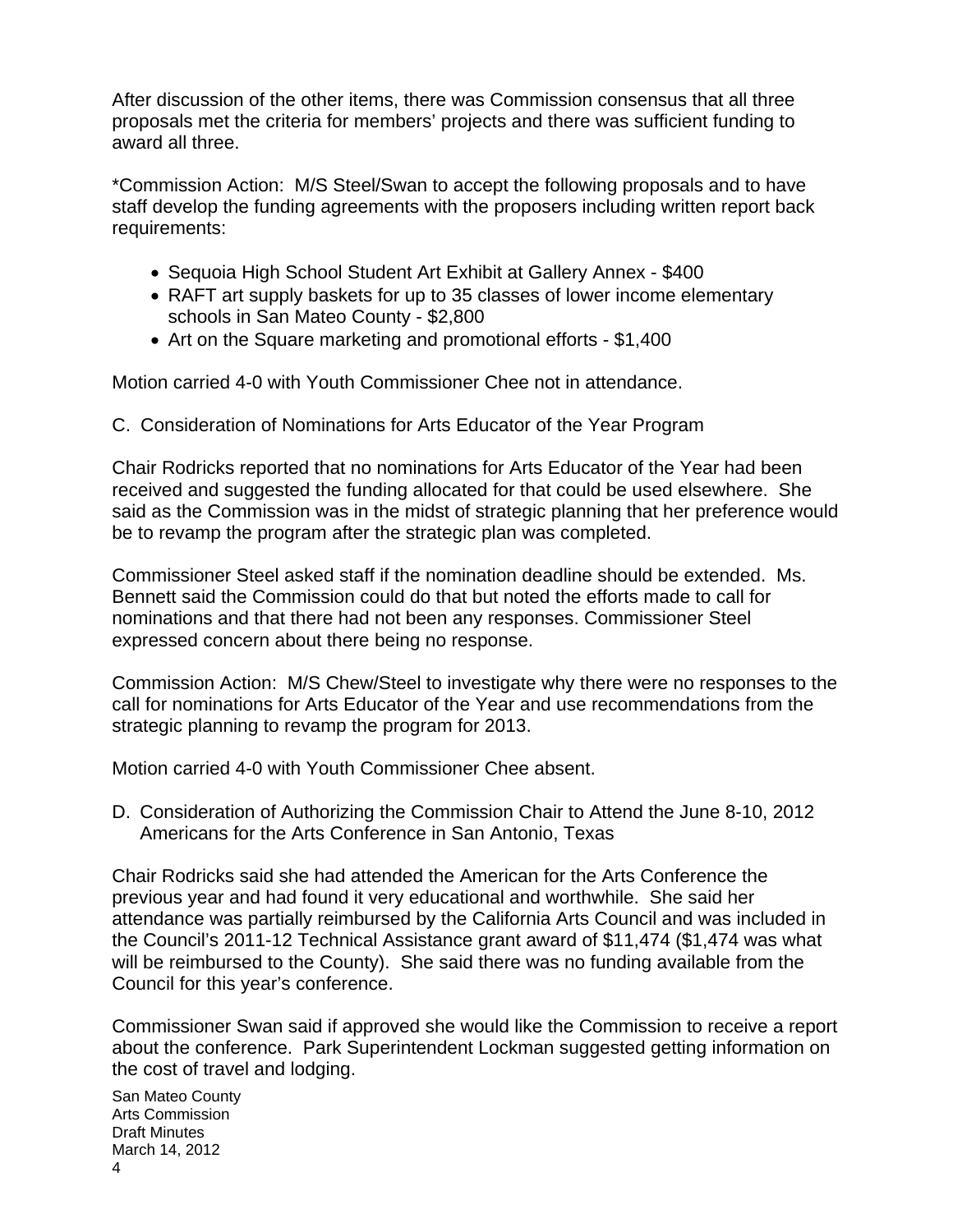After discussion of the other items, there was Commission consensus that all three proposals met the criteria for members' projects and there was sufficient funding to award all three.

\*Commission Action: M/S Steel/Swan to accept the following proposals and to have staff develop the funding agreements with the proposers including written report back requirements:

- Sequoia High School Student Art Exhibit at Gallery Annex \$400
- RAFT art supply baskets for up to 35 classes of lower income elementary schools in San Mateo County - \$2,800
- Art on the Square marketing and promotional efforts \$1,400

Motion carried 4-0 with Youth Commissioner Chee not in attendance.

C. Consideration of Nominations for Arts Educator of the Year Program

Chair Rodricks reported that no nominations for Arts Educator of the Year had been received and suggested the funding allocated for that could be used elsewhere. She said as the Commission was in the midst of strategic planning that her preference would be to revamp the program after the strategic plan was completed.

Commissioner Steel asked staff if the nomination deadline should be extended. Ms. Bennett said the Commission could do that but noted the efforts made to call for nominations and that there had not been any responses. Commissioner Steel expressed concern about there being no response.

Commission Action: M/S Chew/Steel to investigate why there were no responses to the call for nominations for Arts Educator of the Year and use recommendations from the strategic planning to revamp the program for 2013.

Motion carried 4-0 with Youth Commissioner Chee absent.

D. Consideration of Authorizing the Commission Chair to Attend the June 8-10, 2012 Americans for the Arts Conference in San Antonio, Texas

Chair Rodricks said she had attended the American for the Arts Conference the previous year and had found it very educational and worthwhile. She said her attendance was partially reimbursed by the California Arts Council and was included in the Council's 2011-12 Technical Assistance grant award of \$11,474 (\$1,474 was what will be reimbursed to the County). She said there was no funding available from the Council for this year's conference.

Commissioner Swan said if approved she would like the Commission to receive a report about the conference. Park Superintendent Lockman suggested getting information on the cost of travel and lodging.

San Mateo County Arts Commission Draft Minutes March 14, 2012 4